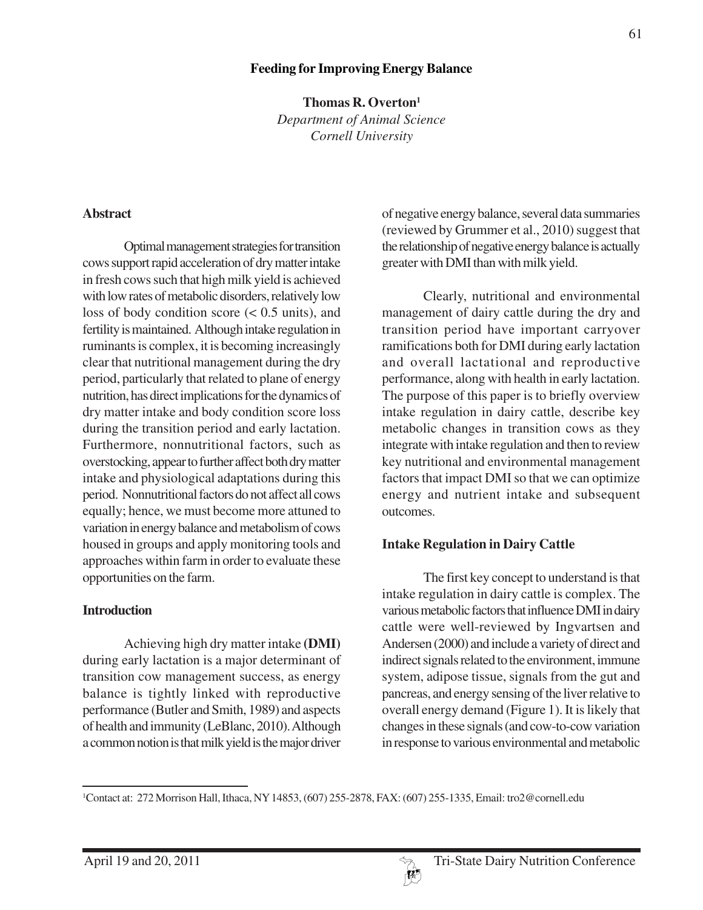### **Feeding for Improving Energy Balance**

**Thomas R. Overton1** *Department of Animal Science Cornell University*

#### **Abstract**

Optimal management strategies for transition cows support rapid acceleration of dry matter intake in fresh cows such that high milk yield is achieved with low rates of metabolic disorders, relatively low loss of body condition score (< 0.5 units), and fertility is maintained. Although intake regulation in ruminants is complex, it is becoming increasingly clear that nutritional management during the dry period, particularly that related to plane of energy nutrition, has direct implications for the dynamics of dry matter intake and body condition score loss during the transition period and early lactation. Furthermore, nonnutritional factors, such as overstocking, appear to further affect both dry matter intake and physiological adaptations during this period. Nonnutritional factors do not affect all cows equally; hence, we must become more attuned to variation in energy balance and metabolism of cows housed in groups and apply monitoring tools and approaches within farm in order to evaluate these opportunities on the farm.

#### **Introduction**

Achieving high dry matter intake **(DMI)** during early lactation is a major determinant of transition cow management success, as energy balance is tightly linked with reproductive performance (Butler and Smith, 1989) and aspects of health and immunity (LeBlanc, 2010). Although a common notion is that milk yield is the major driver

of negative energy balance, several data summaries (reviewed by Grummer et al., 2010) suggest that the relationship of negative energy balance is actually greater with DMI than with milk yield.

Clearly, nutritional and environmental management of dairy cattle during the dry and transition period have important carryover ramifications both for DMI during early lactation and overall lactational and reproductive performance, along with health in early lactation. The purpose of this paper is to briefly overview intake regulation in dairy cattle, describe key metabolic changes in transition cows as they integrate with intake regulation and then to review key nutritional and environmental management factors that impact DMI so that we can optimize energy and nutrient intake and subsequent outcomes.

#### **Intake Regulation in Dairy Cattle**

The first key concept to understand is that intake regulation in dairy cattle is complex. The various metabolic factors that influence DMI in dairy cattle were well-reviewed by Ingvartsen and Andersen (2000) and include a variety of direct and indirect signals related to the environment, immune system, adipose tissue, signals from the gut and pancreas, and energy sensing of the liver relative to overall energy demand (Figure 1). It is likely that changes in these signals (and cow-to-cow variation in response to various environmental and metabolic

<sup>1</sup> Contact at: 272 Morrison Hall, Ithaca, NY 14853, (607) 255-2878, FAX: (607) 255-1335, Email: tro2@cornell.edu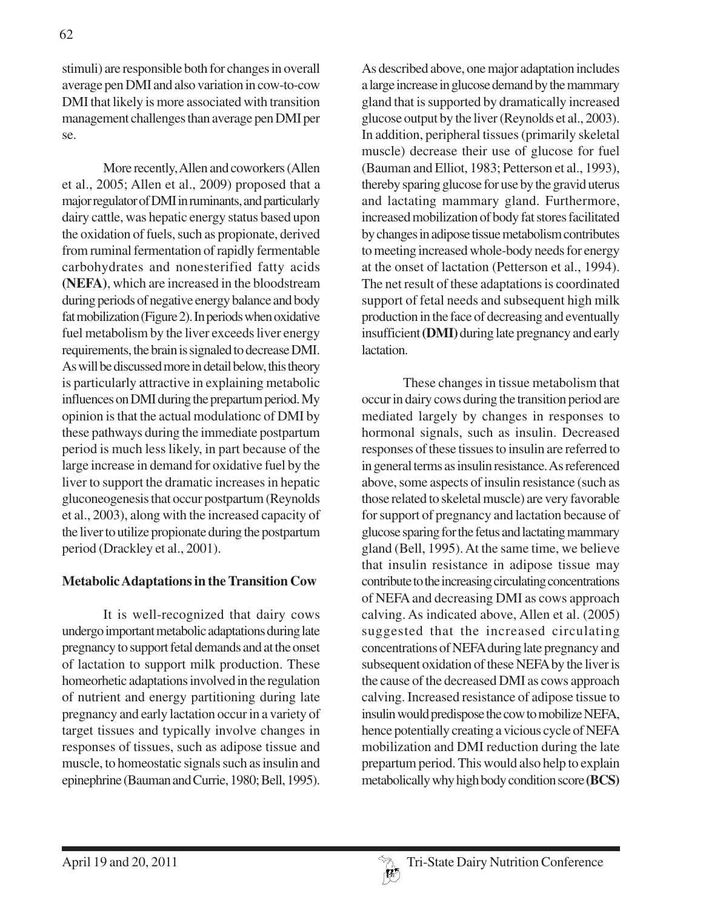stimuli) are responsible both for changes in overall average pen DMI and also variation in cow-to-cow DMI that likely is more associated with transition management challenges than average pen DMI per se.

More recently, Allen and coworkers (Allen et al., 2005; Allen et al., 2009) proposed that a major regulator of DMI in ruminants, and particularly dairy cattle, was hepatic energy status based upon the oxidation of fuels, such as propionate, derived from ruminal fermentation of rapidly fermentable carbohydrates and nonesterified fatty acids **(NEFA)**, which are increased in the bloodstream during periods of negative energy balance and body fat mobilization (Figure 2). In periods when oxidative fuel metabolism by the liver exceeds liver energy requirements, the brain is signaled to decrease DMI. As will be discussed more in detail below, this theory is particularly attractive in explaining metabolic influences on DMI during the prepartum period. My opinion is that the actual modulationc of DMI by these pathways during the immediate postpartum period is much less likely, in part because of the large increase in demand for oxidative fuel by the liver to support the dramatic increases in hepatic gluconeogenesis that occur postpartum (Reynolds et al., 2003), along with the increased capacity of the liver to utilize propionate during the postpartum period (Drackley et al., 2001).

## **Metabolic Adaptations in the Transition Cow**

It is well-recognized that dairy cows undergo important metabolic adaptations during late pregnancy to support fetal demands and at the onset of lactation to support milk production. These homeorhetic adaptations involved in the regulation of nutrient and energy partitioning during late pregnancy and early lactation occur in a variety of target tissues and typically involve changes in responses of tissues, such as adipose tissue and muscle, to homeostatic signals such as insulin and epinephrine (Bauman and Currie, 1980; Bell, 1995).

As described above, one major adaptation includes a large increase in glucose demand by the mammary gland that is supported by dramatically increased glucose output by the liver (Reynolds et al., 2003). In addition, peripheral tissues (primarily skeletal muscle) decrease their use of glucose for fuel (Bauman and Elliot, 1983; Petterson et al., 1993), thereby sparing glucose for use by the gravid uterus and lactating mammary gland. Furthermore, increased mobilization of body fat stores facilitated by changes in adipose tissue metabolism contributes to meeting increased whole-body needs for energy at the onset of lactation (Petterson et al., 1994). The net result of these adaptations is coordinated support of fetal needs and subsequent high milk production in the face of decreasing and eventually insufficient **(DMI)** during late pregnancy and early lactation.

These changes in tissue metabolism that occur in dairy cows during the transition period are mediated largely by changes in responses to hormonal signals, such as insulin. Decreased responses of these tissues to insulin are referred to in general terms as insulin resistance. As referenced above, some aspects of insulin resistance (such as those related to skeletal muscle) are very favorable for support of pregnancy and lactation because of glucose sparing for the fetus and lactating mammary gland (Bell, 1995). At the same time, we believe that insulin resistance in adipose tissue may contribute to the increasing circulating concentrations of NEFA and decreasing DMI as cows approach calving. As indicated above, Allen et al. (2005) suggested that the increased circulating concentrations of NEFA during late pregnancy and subsequent oxidation of these NEFA by the liver is the cause of the decreased DMI as cows approach calving. Increased resistance of adipose tissue to insulin would predispose the cow to mobilize NEFA, hence potentially creating a vicious cycle of NEFA mobilization and DMI reduction during the late prepartum period. This would also help to explain metabolically why high body condition score **(BCS)**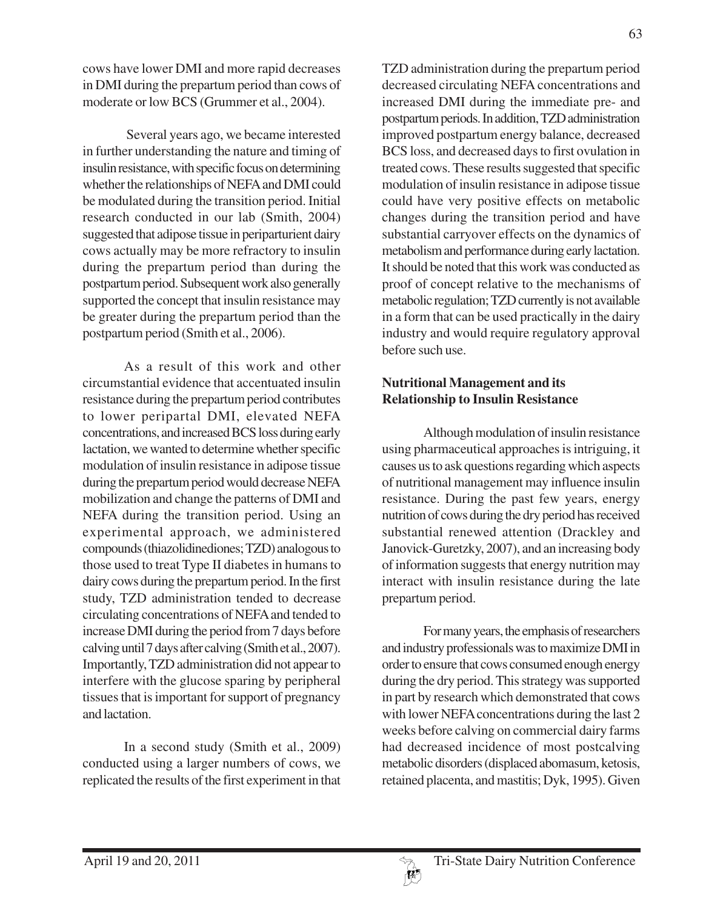cows have lower DMI and more rapid decreases in DMI during the prepartum period than cows of moderate or low BCS (Grummer et al., 2004).

 Several years ago, we became interested in further understanding the nature and timing of insulin resistance, with specific focus on determining whether the relationships of NEFA and DMI could be modulated during the transition period. Initial research conducted in our lab (Smith, 2004) suggested that adipose tissue in periparturient dairy cows actually may be more refractory to insulin during the prepartum period than during the postpartum period. Subsequent work also generally supported the concept that insulin resistance may be greater during the prepartum period than the postpartum period (Smith et al., 2006).

As a result of this work and other circumstantial evidence that accentuated insulin resistance during the prepartum period contributes to lower peripartal DMI, elevated NEFA concentrations, and increased BCS loss during early lactation, we wanted to determine whether specific modulation of insulin resistance in adipose tissue during the prepartum period would decrease NEFA mobilization and change the patterns of DMI and NEFA during the transition period. Using an experimental approach, we administered compounds (thiazolidinediones; TZD) analogous to those used to treat Type II diabetes in humans to dairy cows during the prepartum period. In the first study, TZD administration tended to decrease circulating concentrations of NEFA and tended to increase DMI during the period from 7 days before calving until 7 days after calving (Smith et al., 2007). Importantly, TZD administration did not appear to interfere with the glucose sparing by peripheral tissues that is important for support of pregnancy and lactation.

In a second study (Smith et al., 2009) conducted using a larger numbers of cows, we replicated the results of the first experiment in that TZD administration during the prepartum period decreased circulating NEFA concentrations and increased DMI during the immediate pre- and postpartum periods. In addition, TZD administration improved postpartum energy balance, decreased BCS loss, and decreased days to first ovulation in treated cows. These results suggested that specific modulation of insulin resistance in adipose tissue could have very positive effects on metabolic changes during the transition period and have substantial carryover effects on the dynamics of metabolism and performance during early lactation. It should be noted that this work was conducted as proof of concept relative to the mechanisms of metabolic regulation; TZD currently is not available in a form that can be used practically in the dairy industry and would require regulatory approval before such use.

# **Nutritional Management and its Relationship to Insulin Resistance**

Although modulation of insulin resistance using pharmaceutical approaches is intriguing, it causes us to ask questions regarding which aspects of nutritional management may influence insulin resistance. During the past few years, energy nutrition of cows during the dry period has received substantial renewed attention (Drackley and Janovick-Guretzky, 2007), and an increasing body of information suggests that energy nutrition may interact with insulin resistance during the late prepartum period.

For many years, the emphasis of researchers and industry professionals was to maximize DMI in order to ensure that cows consumed enough energy during the dry period. This strategy was supported in part by research which demonstrated that cows with lower NEFA concentrations during the last 2 weeks before calving on commercial dairy farms had decreased incidence of most postcalving metabolic disorders (displaced abomasum, ketosis, retained placenta, and mastitis; Dyk, 1995). Given

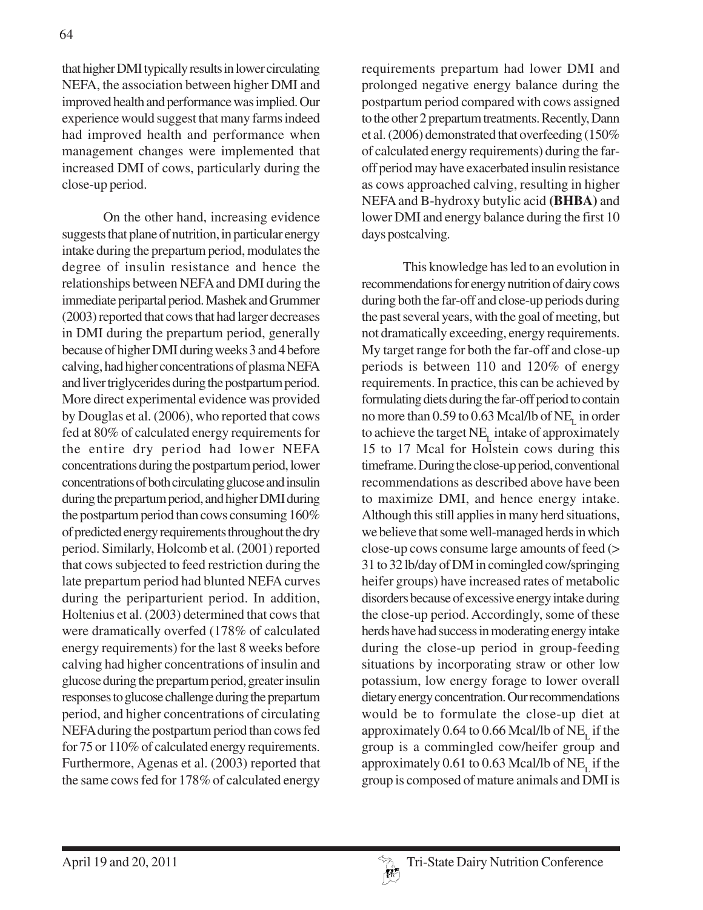that higher DMI typically results in lower circulating NEFA, the association between higher DMI and improved health and performance was implied. Our experience would suggest that many farms indeed had improved health and performance when management changes were implemented that increased DMI of cows, particularly during the close-up period.

On the other hand, increasing evidence suggests that plane of nutrition, in particular energy intake during the prepartum period, modulates the degree of insulin resistance and hence the relationships between NEFA and DMI during the immediate peripartal period. Mashek and Grummer (2003) reported that cows that had larger decreases in DMI during the prepartum period, generally because of higher DMI during weeks 3 and 4 before calving, had higher concentrations of plasma NEFA and liver triglycerides during the postpartum period. More direct experimental evidence was provided by Douglas et al. (2006), who reported that cows fed at 80% of calculated energy requirements for the entire dry period had lower NEFA concentrations during the postpartum period, lower concentrations of both circulating glucose and insulin during the prepartum period, and higher DMI during the postpartum period than cows consuming 160% of predicted energy requirements throughout the dry period. Similarly, Holcomb et al. (2001) reported that cows subjected to feed restriction during the late prepartum period had blunted NEFA curves during the periparturient period. In addition, Holtenius et al. (2003) determined that cows that were dramatically overfed (178% of calculated energy requirements) for the last 8 weeks before calving had higher concentrations of insulin and glucose during the prepartum period, greater insulin responses to glucose challenge during the prepartum period, and higher concentrations of circulating NEFA during the postpartum period than cows fed for 75 or 110% of calculated energy requirements. Furthermore, Agenas et al. (2003) reported that the same cows fed for 178% of calculated energy

requirements prepartum had lower DMI and prolonged negative energy balance during the postpartum period compared with cows assigned to the other 2 prepartum treatments. Recently, Dann et al. (2006) demonstrated that overfeeding (150% of calculated energy requirements) during the faroff period may have exacerbated insulin resistance as cows approached calving, resulting in higher NEFA and B-hydroxy butylic acid **(BHBA)** and lower DMI and energy balance during the first 10 days postcalving.

This knowledge has led to an evolution in recommendations for energy nutrition of dairy cows during both the far-off and close-up periods during the past several years, with the goal of meeting, but not dramatically exceeding, energy requirements. My target range for both the far-off and close-up periods is between 110 and 120% of energy requirements. In practice, this can be achieved by formulating diets during the far-off period to contain no more than  $0.59$  to  $0.63$  Mcal/lb of NE<sub> $<sub>r</sub>$ </sub> in order</sub> to achieve the target  $NE<sub>L</sub>$  intake of approximately 15 to 17 Mcal for Holstein cows during this timeframe. During the close-up period, conventional recommendations as described above have been to maximize DMI, and hence energy intake. Although this still applies in many herd situations, we believe that some well-managed herds in which close-up cows consume large amounts of feed (> 31 to 32 lb/day of DM in comingled cow/springing heifer groups) have increased rates of metabolic disorders because of excessive energy intake during the close-up period. Accordingly, some of these herds have had success in moderating energy intake during the close-up period in group-feeding situations by incorporating straw or other low potassium, low energy forage to lower overall dietary energy concentration. Our recommendations would be to formulate the close-up diet at approximately  $0.64$  to  $0.66$  Mcal/lb of NE<sub>L</sub> if the group is a commingled cow/heifer group and approximately  $0.61$  to  $0.63$  Mcal/lb of NE<sub>L</sub> if the group is composed of mature animals and DMI is

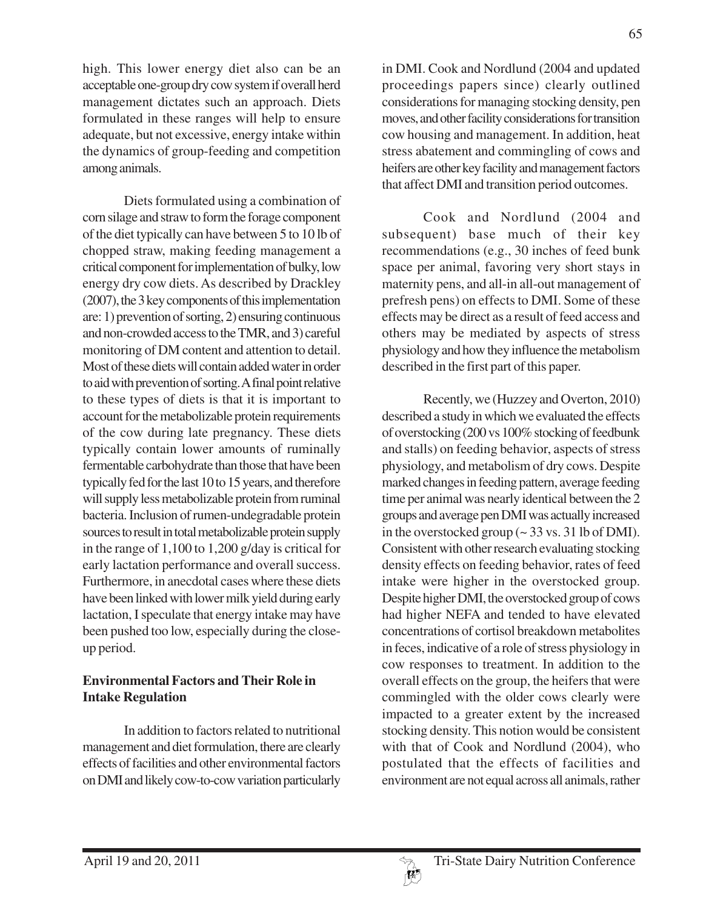high. This lower energy diet also can be an acceptable one-group dry cow system if overall herd management dictates such an approach. Diets formulated in these ranges will help to ensure adequate, but not excessive, energy intake within the dynamics of group-feeding and competition among animals.

Diets formulated using a combination of corn silage and straw to form the forage component of the diet typically can have between 5 to 10 lb of chopped straw, making feeding management a critical component for implementation of bulky, low energy dry cow diets. As described by Drackley (2007), the 3 key components of this implementation are: 1) prevention of sorting, 2) ensuring continuous and non-crowded access to the TMR, and 3) careful monitoring of DM content and attention to detail. Most of these diets will contain added water in order to aid with prevention of sorting. A final point relative to these types of diets is that it is important to account for the metabolizable protein requirements of the cow during late pregnancy. These diets typically contain lower amounts of ruminally fermentable carbohydrate than those that have been typically fed for the last 10 to 15 years, and therefore will supply less metabolizable protein from ruminal bacteria. Inclusion of rumen-undegradable protein sources to result in total metabolizable protein supply in the range of 1,100 to 1,200 g/day is critical for early lactation performance and overall success. Furthermore, in anecdotal cases where these diets have been linked with lower milk yield during early lactation, I speculate that energy intake may have been pushed too low, especially during the closeup period.

### **Environmental Factors and Their Role in Intake Regulation**

In addition to factors related to nutritional management and diet formulation, there are clearly effects of facilities and other environmental factors on DMI and likely cow-to-cow variation particularly

in DMI. Cook and Nordlund (2004 and updated proceedings papers since) clearly outlined considerations for managing stocking density, pen moves, and other facility considerations for transition cow housing and management. In addition, heat stress abatement and commingling of cows and heifers are other key facility and management factors that affect DMI and transition period outcomes.

Cook and Nordlund (2004 and subsequent) base much of their key recommendations (e.g., 30 inches of feed bunk space per animal, favoring very short stays in maternity pens, and all-in all-out management of prefresh pens) on effects to DMI. Some of these effects may be direct as a result of feed access and others may be mediated by aspects of stress physiology and how they influence the metabolism described in the first part of this paper.

Recently, we (Huzzey and Overton, 2010) described a study in which we evaluated the effects of overstocking (200 vs 100% stocking of feedbunk and stalls) on feeding behavior, aspects of stress physiology, and metabolism of dry cows. Despite marked changes in feeding pattern, average feeding time per animal was nearly identical between the 2 groups and average pen DMI was actually increased in the overstocked group  $\sim$  33 vs. 31 lb of DMI). Consistent with other research evaluating stocking density effects on feeding behavior, rates of feed intake were higher in the overstocked group. Despite higher DMI, the overstocked group of cows had higher NEFA and tended to have elevated concentrations of cortisol breakdown metabolites in feces, indicative of a role of stress physiology in cow responses to treatment. In addition to the overall effects on the group, the heifers that were commingled with the older cows clearly were impacted to a greater extent by the increased stocking density. This notion would be consistent with that of Cook and Nordlund (2004), who postulated that the effects of facilities and environment are not equal across all animals, rather

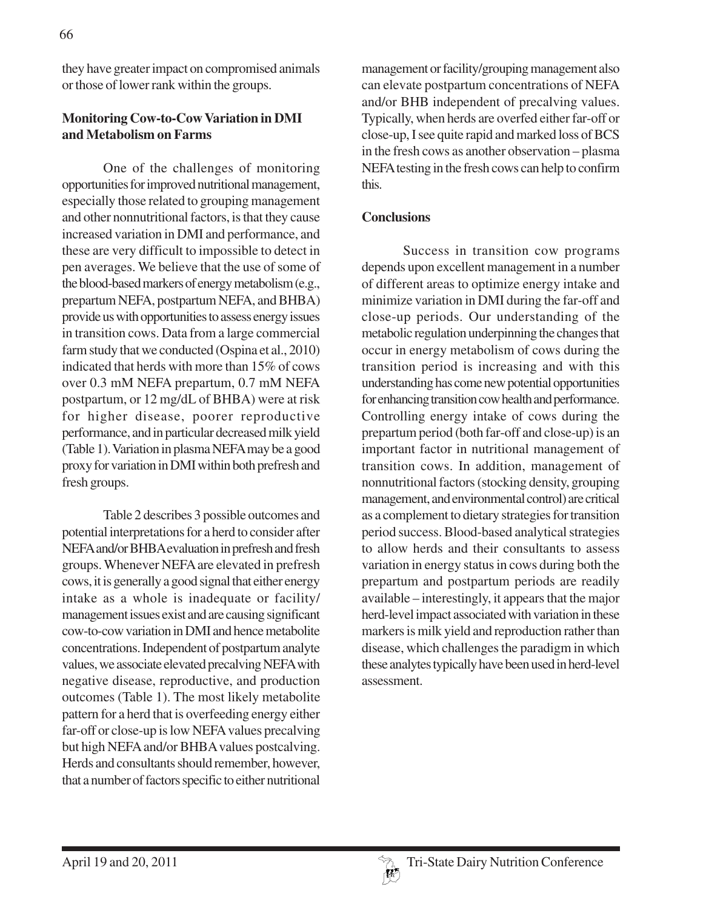they have greater impact on compromised animals or those of lower rank within the groups.

# **Monitoring Cow-to-Cow Variation in DMI and Metabolism on Farms**

One of the challenges of monitoring opportunities for improved nutritional management, especially those related to grouping management and other nonnutritional factors, is that they cause increased variation in DMI and performance, and these are very difficult to impossible to detect in pen averages. We believe that the use of some of the blood-based markers of energy metabolism (e.g., prepartum NEFA, postpartum NEFA, and BHBA) provide us with opportunities to assess energy issues in transition cows. Data from a large commercial farm study that we conducted (Ospina et al., 2010) indicated that herds with more than 15% of cows over 0.3 mM NEFA prepartum, 0.7 mM NEFA postpartum, or 12 mg/dL of BHBA) were at risk for higher disease, poorer reproductive performance, and in particular decreased milk yield (Table 1). Variation in plasma NEFA may be a good proxy for variation in DMI within both prefresh and fresh groups.

Table 2 describes 3 possible outcomes and potential interpretations for a herd to consider after NEFA and/or BHBA evaluation in prefresh and fresh groups. Whenever NEFA are elevated in prefresh cows, it is generally a good signal that either energy intake as a whole is inadequate or facility/ management issues exist and are causing significant cow-to-cow variation in DMI and hence metabolite concentrations. Independent of postpartum analyte values, we associate elevated precalving NEFA with negative disease, reproductive, and production outcomes (Table 1). The most likely metabolite pattern for a herd that is overfeeding energy either far-off or close-up is low NEFA values precalving but high NEFA and/or BHBA values postcalving. Herds and consultants should remember, however, that a number of factors specific to either nutritional

management or facility/grouping management also can elevate postpartum concentrations of NEFA and/or BHB independent of precalving values. Typically, when herds are overfed either far-off or close-up, I see quite rapid and marked loss of BCS in the fresh cows as another observation – plasma NEFA testing in the fresh cows can help to confirm this.

## **Conclusions**

Success in transition cow programs depends upon excellent management in a number of different areas to optimize energy intake and minimize variation in DMI during the far-off and close-up periods. Our understanding of the metabolic regulation underpinning the changes that occur in energy metabolism of cows during the transition period is increasing and with this understanding has come new potential opportunities for enhancing transition cow health and performance. Controlling energy intake of cows during the prepartum period (both far-off and close-up) is an important factor in nutritional management of transition cows. In addition, management of nonnutritional factors (stocking density, grouping management, and environmental control) are critical as a complement to dietary strategies for transition period success. Blood-based analytical strategies to allow herds and their consultants to assess variation in energy status in cows during both the prepartum and postpartum periods are readily available – interestingly, it appears that the major herd-level impact associated with variation in these markers is milk yield and reproduction rather than disease, which challenges the paradigm in which these analytes typically have been used in herd-level assessment.

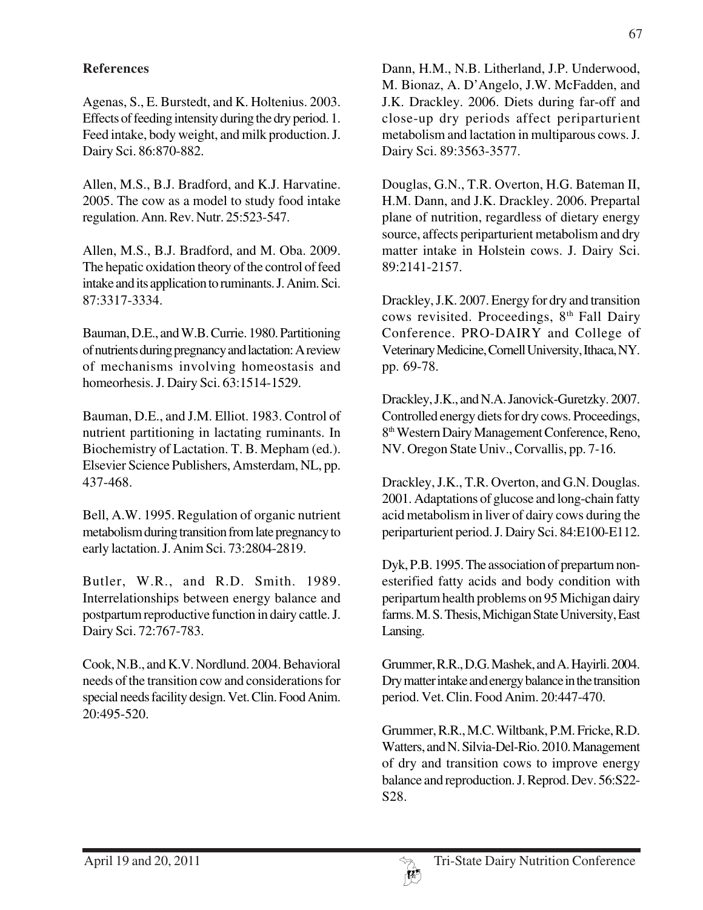# **References**

Agenas, S., E. Burstedt, and K. Holtenius. 2003. Effects of feeding intensity during the dry period. 1. Feed intake, body weight, and milk production. J. Dairy Sci. 86:870-882.

Allen, M.S., B.J. Bradford, and K.J. Harvatine. 2005. The cow as a model to study food intake regulation. Ann. Rev. Nutr. 25:523-547.

Allen, M.S., B.J. Bradford, and M. Oba. 2009. The hepatic oxidation theory of the control of feed intake and its application to ruminants. J. Anim. Sci. 87:3317-3334.

Bauman, D.E., and W.B. Currie. 1980. Partitioning of nutrients during pregnancy and lactation: A review of mechanisms involving homeostasis and homeorhesis. J. Dairy Sci. 63:1514-1529.

Bauman, D.E., and J.M. Elliot. 1983. Control of nutrient partitioning in lactating ruminants. In Biochemistry of Lactation. T. B. Mepham (ed.). Elsevier Science Publishers, Amsterdam, NL, pp. 437-468.

Bell, A.W. 1995. Regulation of organic nutrient metabolism during transition from late pregnancy to early lactation. J. Anim Sci. 73:2804-2819.

Butler, W.R., and R.D. Smith. 1989. Interrelationships between energy balance and postpartum reproductive function in dairy cattle. J. Dairy Sci. 72:767-783.

Cook, N.B., and K.V. Nordlund. 2004. Behavioral needs of the transition cow and considerations for special needs facility design. Vet. Clin. Food Anim. 20:495-520.

Dann, H.M., N.B. Litherland, J.P. Underwood, M. Bionaz, A. D'Angelo, J.W. McFadden, and J.K. Drackley. 2006. Diets during far-off and close-up dry periods affect periparturient metabolism and lactation in multiparous cows. J. Dairy Sci. 89:3563-3577.

Douglas, G.N., T.R. Overton, H.G. Bateman II, H.M. Dann, and J.K. Drackley. 2006. Prepartal plane of nutrition, regardless of dietary energy source, affects periparturient metabolism and dry matter intake in Holstein cows. J. Dairy Sci. 89:2141-2157.

Drackley, J.K. 2007. Energy for dry and transition cows revisited. Proceedings, 8<sup>th</sup> Fall Dairy Conference. PRO-DAIRY and College of Veterinary Medicine, Cornell University, Ithaca, NY. pp. 69-78.

Drackley, J.K., and N.A. Janovick-Guretzky. 2007. Controlled energy diets for dry cows. Proceedings, 8th Western Dairy Management Conference, Reno, NV. Oregon State Univ., Corvallis, pp. 7-16.

Drackley, J.K., T.R. Overton, and G.N. Douglas. 2001. Adaptations of glucose and long-chain fatty acid metabolism in liver of dairy cows during the periparturient period. J. Dairy Sci. 84:E100-E112.

Dyk, P.B. 1995. The association of prepartum nonesterified fatty acids and body condition with peripartum health problems on 95 Michigan dairy farms. M. S. Thesis, Michigan State University, East Lansing.

Grummer, R.R., D.G. Mashek, and A. Hayirli. 2004. Dry matter intake and energy balance in the transition period. Vet. Clin. Food Anim. 20:447-470.

Grummer, R.R., M.C. Wiltbank, P.M. Fricke, R.D. Watters, and N. Silvia-Del-Rio. 2010. Management of dry and transition cows to improve energy balance and reproduction. J. Reprod. Dev. 56:S22- S28.

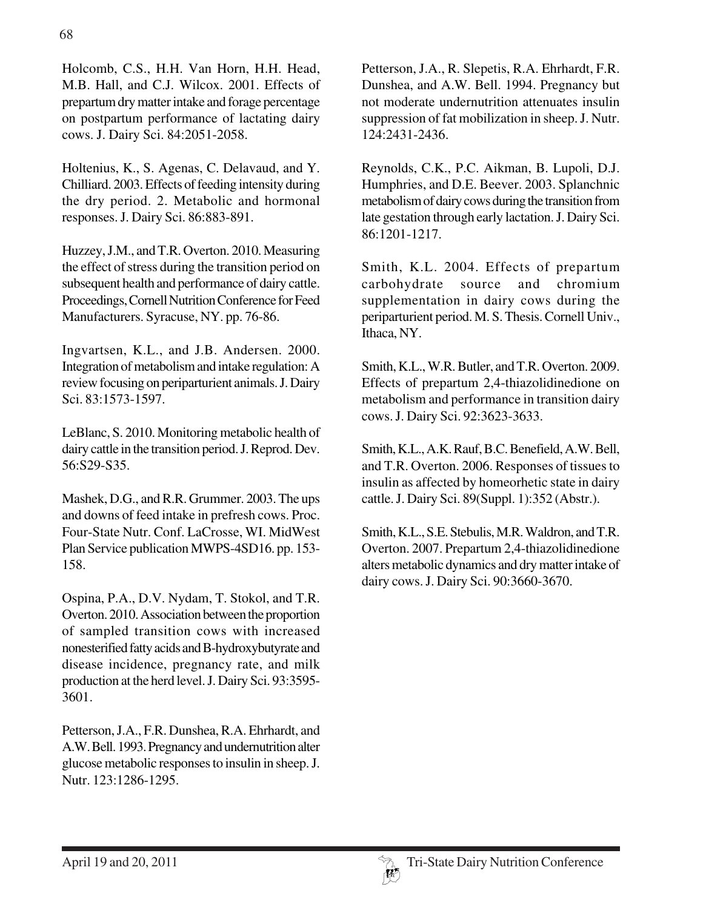Holcomb, C.S., H.H. Van Horn, H.H. Head, M.B. Hall, and C.J. Wilcox. 2001. Effects of prepartum dry matter intake and forage percentage on postpartum performance of lactating dairy cows. J. Dairy Sci. 84:2051-2058.

Holtenius, K., S. Agenas, C. Delavaud, and Y. Chilliard. 2003. Effects of feeding intensity during the dry period. 2. Metabolic and hormonal responses. J. Dairy Sci. 86:883-891.

Huzzey, J.M., and T.R. Overton. 2010. Measuring the effect of stress during the transition period on subsequent health and performance of dairy cattle. Proceedings, Cornell Nutrition Conference for Feed Manufacturers. Syracuse, NY. pp. 76-86.

Ingvartsen, K.L., and J.B. Andersen. 2000. Integration of metabolism and intake regulation: A review focusing on periparturient animals. J. Dairy Sci. 83:1573-1597.

LeBlanc, S. 2010. Monitoring metabolic health of dairy cattle in the transition period. J. Reprod. Dev. 56:S29-S35.

Mashek, D.G., and R.R. Grummer. 2003. The ups and downs of feed intake in prefresh cows. Proc. Four-State Nutr. Conf. LaCrosse, WI. MidWest Plan Service publication MWPS-4SD16. pp. 153- 158.

Ospina, P.A., D.V. Nydam, T. Stokol, and T.R. Overton. 2010. Association between the proportion of sampled transition cows with increased nonesterified fatty acids and B-hydroxybutyrate and disease incidence, pregnancy rate, and milk production at the herd level. J. Dairy Sci. 93:3595- 3601.

Petterson, J.A., F.R. Dunshea, R.A. Ehrhardt, and A.W. Bell. 1993. Pregnancy and undernutrition alter glucose metabolic responses to insulin in sheep. J. Nutr. 123:1286-1295.

Petterson, J.A., R. Slepetis, R.A. Ehrhardt, F.R. Dunshea, and A.W. Bell. 1994. Pregnancy but not moderate undernutrition attenuates insulin suppression of fat mobilization in sheep. J. Nutr. 124:2431-2436.

Reynolds, C.K., P.C. Aikman, B. Lupoli, D.J. Humphries, and D.E. Beever. 2003. Splanchnic metabolism of dairy cows during the transition from late gestation through early lactation. J. Dairy Sci. 86:1201-1217.

Smith, K.L. 2004. Effects of prepartum carbohydrate source and chromium supplementation in dairy cows during the periparturient period. M. S. Thesis. Cornell Univ., Ithaca, NY.

Smith, K.L., W.R. Butler, and T.R. Overton. 2009. Effects of prepartum 2,4-thiazolidinedione on metabolism and performance in transition dairy cows. J. Dairy Sci. 92:3623-3633.

Smith, K.L., A.K. Rauf, B.C. Benefield, A.W. Bell, and T.R. Overton. 2006. Responses of tissues to insulin as affected by homeorhetic state in dairy cattle. J. Dairy Sci. 89(Suppl. 1):352 (Abstr.).

Smith, K.L., S.E. Stebulis, M.R. Waldron, and T.R. Overton. 2007. Prepartum 2,4-thiazolidinedione alters metabolic dynamics and dry matter intake of dairy cows. J. Dairy Sci. 90:3660-3670.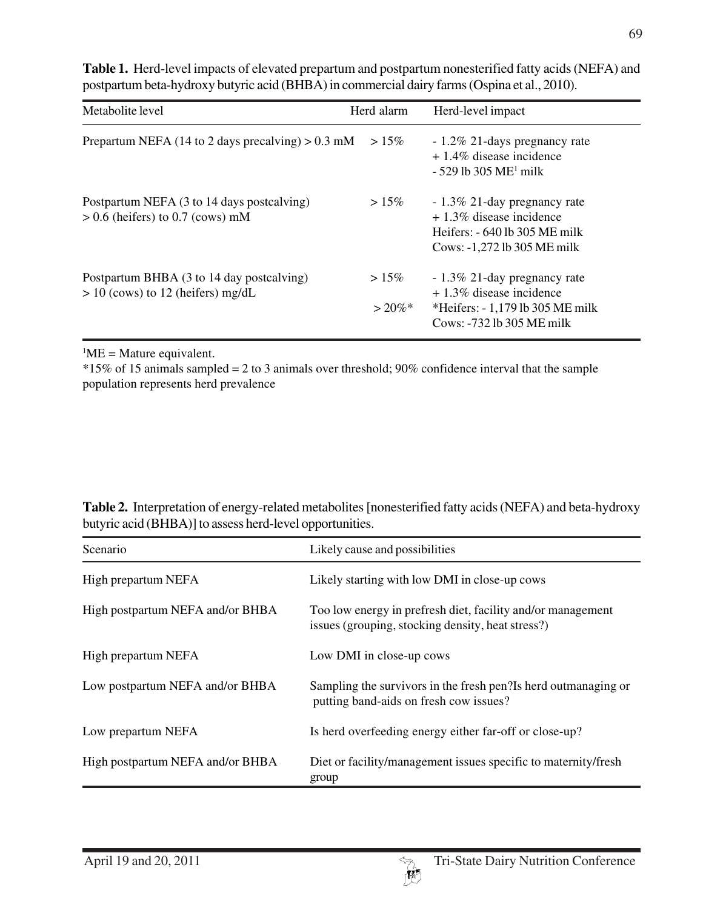| Metabolite level                                                                 | Herd alarm            | Herd-level impact                                                                                                              |
|----------------------------------------------------------------------------------|-----------------------|--------------------------------------------------------------------------------------------------------------------------------|
| Prepartum NEFA (14 to 2 days precalving) $> 0.3$ mM                              | $>15\%$               | - 1.2\% 21-days pregnancy rate<br>$+1.4\%$ disease incidence<br>$-529$ lb 305 ME <sup>1</sup> milk                             |
| Postpartum NEFA (3 to 14 days postcalving)<br>$> 0.6$ (heifers) to 0.7 (cows) mM | $>15\%$               | - 1.3% 21-day pregnancy rate<br>$+1.3\%$ disease incidence<br>Heifers: $-640$ lb 305 ME milk<br>Cows: -1,272 lb 305 ME milk    |
| Postpartum BHBA (3 to 14 day postcalving)<br>$> 10$ (cows) to 12 (heifers) mg/dL | $>15\%$<br>$> 20\%$ * | - 1.3% 21-day pregnancy rate<br>$+1.3\%$ disease incidence<br>*Heifers: $-1,179$ lb 305 ME milk<br>$Cows: -732 lb 305 ME milk$ |

**Table 1.** Herd-level impacts of elevated prepartum and postpartum nonesterified fatty acids (NEFA) and postpartum beta-hydroxy butyric acid (BHBA) in commercial dairy farms (Ospina et al., 2010).

 ${}^{1}$ ME = Mature equivalent.

 $*15\%$  of 15 animals sampled = 2 to 3 animals over threshold; 90% confidence interval that the sample population represents herd prevalence

| Table 2. Interpretation of energy-related metabolites [nonesterified fatty acids (NEFA) and beta-hydroxy |  |
|----------------------------------------------------------------------------------------------------------|--|
| butyric acid (BHBA)] to assess herd-level opportunities.                                                 |  |

| Scenario                         | Likely cause and possibilities                                                                                   |
|----------------------------------|------------------------------------------------------------------------------------------------------------------|
| High prepartum NEFA              | Likely starting with low DMI in close-up cows                                                                    |
| High postpartum NEFA and/or BHBA | Too low energy in prefresh diet, facility and/or management<br>issues (grouping, stocking density, heat stress?) |
| High prepartum NEFA              | Low DMI in close-up cows                                                                                         |
| Low postpartum NEFA and/or BHBA  | Sampling the survivors in the fresh pen? Is herd outmanaging or<br>putting band-aids on fresh cow issues?        |
| Low prepartum NEFA               | Is herd overfeeding energy either far-off or close-up?                                                           |
| High postpartum NEFA and/or BHBA | Diet or facility/management issues specific to maternity/fresh<br>group                                          |